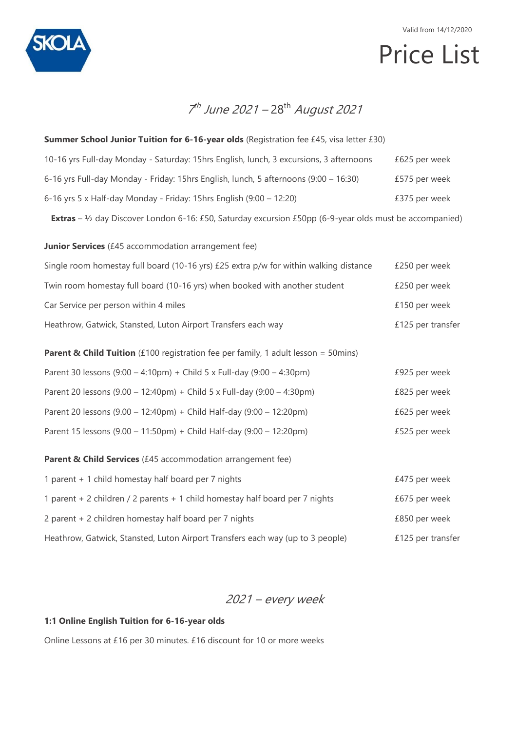

# Price List

## 7<sup>th</sup> June 2021 – 28<sup>th</sup> August 2021

| Summer School Junior Tuition for 6-16-year olds (Registration fee £45, visa letter £30)                                   |                   |
|---------------------------------------------------------------------------------------------------------------------------|-------------------|
| 10-16 yrs Full-day Monday - Saturday: 15hrs English, lunch, 3 excursions, 3 afternoons                                    | £625 per week     |
| 6-16 yrs Full-day Monday - Friday: 15hrs English, lunch, 5 afternoons (9:00 - 16:30)                                      | £575 per week     |
| 6-16 yrs 5 x Half-day Monday - Friday: 15hrs English (9:00 - 12:20)                                                       | £375 per week     |
| <b>Extras</b> – $\frac{1}{2}$ day Discover London 6-16: £50, Saturday excursion £50pp (6-9-year olds must be accompanied) |                   |
| Junior Services (£45 accommodation arrangement fee)                                                                       |                   |
| Single room homestay full board (10-16 yrs) £25 extra p/w for within walking distance                                     | £250 per week     |
| Twin room homestay full board (10-16 yrs) when booked with another student                                                | £250 per week     |
| Car Service per person within 4 miles                                                                                     | £150 per week     |
| Heathrow, Gatwick, Stansted, Luton Airport Transfers each way                                                             | £125 per transfer |
| <b>Parent &amp; Child Tuition</b> (£100 registration fee per family, 1 adult lesson = 50mins)                             |                   |
| Parent 30 lessons (9:00 - 4:10pm) + Child 5 x Full-day (9:00 - 4:30pm)                                                    | £925 per week     |
| Parent 20 lessons (9.00 - 12:40pm) + Child 5 x Full-day (9:00 - 4:30pm)                                                   | £825 per week     |
| Parent 20 lessons (9.00 - 12:40pm) + Child Half-day (9:00 - 12:20pm)                                                      | £625 per week     |
| Parent 15 lessons (9.00 - 11:50pm) + Child Half-day (9:00 - 12:20pm)                                                      | £525 per week     |
| Parent & Child Services (£45 accommodation arrangement fee)                                                               |                   |
| 1 parent + 1 child homestay half board per 7 nights                                                                       | £475 per week     |
| 1 parent + 2 children / 2 parents + 1 child homestay half board per 7 nights                                              | £675 per week     |
| 2 parent + 2 children homestay half board per 7 nights                                                                    | £850 per week     |
| Heathrow, Gatwick, Stansted, Luton Airport Transfers each way (up to 3 people)                                            | £125 per transfer |

2021 – every week

#### **1:1 Online English Tuition for 6-16-year olds**

Online Lessons at £16 per 30 minutes. £16 discount for 10 or more weeks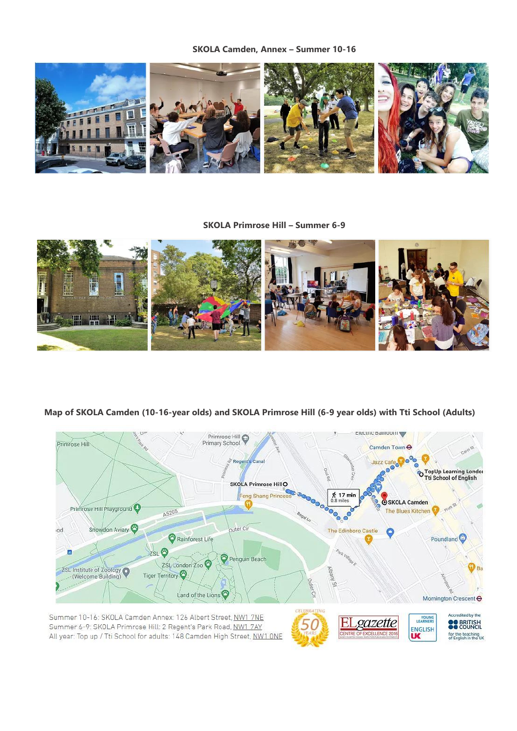**SKOLA Camden, Annex – Summer 10-16**



#### **SKOLA Primrose Hill – Summer 6-9**



#### **Map of SKOLA Camden (10-16-year olds) and SKOLA Primrose Hill (6-9 year olds) with Tti School (Adults)**



Summer 10-16: SKOLA Camden Annex: 126 Albert Street, NW1 7NE Summer 6-9: SKOLA Primrose Hill: 2 Regent's Park Road, NW1 7AY All year: Top up / Tti School for adults: 148 Camden High Street, NW1 ONE

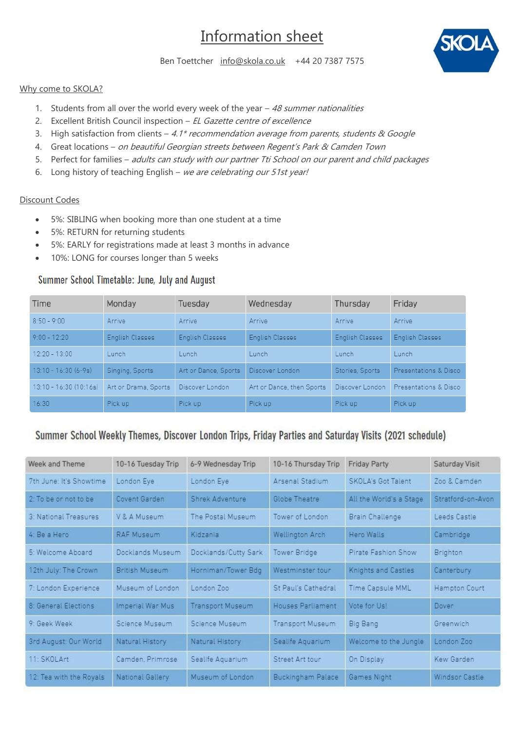# Information sheet



Ben Toettcher [info@skola.co.uk](mailto:info@skola.co.uk) +44 20 7387 7575

#### Why come to SKOLA?

- 1. Students from all over the world every week of the year  $-48$  summer nationalities
- 2. Excellent British Council inspection EL Gazette centre of excellence
- 3. High satisfaction from clients 4.1\* recommendation average from parents, students & Google
- 4. Great locations on beautiful Georgian streets between Regent's Park & Camden Town
- 5. Perfect for families adults can study with our partner Tti School on our parent and child packages
- 6. Long history of teaching English we are celebrating our 51st year!

#### Discount Codes

- 5%: SIBLING when booking more than one student at a time
- 5%: RETURN for returning students
- 5%: EARLY for registrations made at least 3 months in advance
- 10%: LONG for courses longer than 5 weeks

#### Summer School Timetable: June, July and August

| Time                   | Monday               | Tuesday              | Wednesday                 | Thursday        | Friday                |
|------------------------|----------------------|----------------------|---------------------------|-----------------|-----------------------|
| $8:50 - 9:00$          | Arrive               | Arrive               | Arrive                    | Arrive          | Arrive                |
| $9:00 - 12:20$         | English Classes      | English Classes      | English Classes           | English Classes | English Classes       |
| $12:20 - 13:00$        | Lunch                | Lunch                | Lunch                     | Lunch           | Lunch                 |
| $13:10 - 16:30(6-9s)$  | Singing, Sports      | Art or Dance, Sports | Discover London           | Stories, Sports | Presentations & Disco |
| 13:10 - 16:30 (10:16s) | Art or Drama, Sports | Discover London      | Art or Dance, then Sports | Discover London | Presentations & Disco |
| 16:30                  | Pick up              | Pick up              | Pick up                   | Pick up         | Pick up               |

### Summer School Weekly Themes, Discover London Trips, Friday Parties and Saturday Visits (2021 schedule)

| Week and Theme          | 10-16 Tuesday Trip | 6-9 Wednesday Trip      | 10-16 Thursday Trip      | <b>Friday Party</b>     | Saturday Visit    |
|-------------------------|--------------------|-------------------------|--------------------------|-------------------------|-------------------|
| 7th June: It's Showtime | London Eye         | London Eye              | Arsenal Stadium          | SKOLA's Got Talent      | Zoo & Camden      |
| $2+$ To he or not to he | Covent Garden      | Shrek Adventure         | Globe Theatre            | All the World's a Stage | Stratford-on-Avon |
| 3: National Treasures   | V & A Museum       | The Postal Museum       | Tower of London          | Brain Challenge         | Leeds Castle      |
| 4: Be a Hero            | <b>RAF Museum</b>  | Kidzania                | <b>Wellington Arch</b>   | Hero Walls              | Cambridge         |
| 5: Welcome Aboard       | Docklands Museum   | Docklands/Cutty Sark    | Tower Bridge             | Pirate Fashion Show     | Brighton          |
| 12th July: The Crown    | British Museum     | Horniman/Tower Bdg      | Westminster tour         | Knights and Castles     | Canterbury        |
| 7: London Experience    | Museum of London   | London Zoo              | St Paul's Cathedral      | Time Capsule MML        | Hampton Court     |
| 8: General Elections    | Imperial War Mus   | <b>Transport Museum</b> | Houses Parliament        | Vote for Us!            | Dover             |
| 9 Geek Week             | Science Museum     | Science Museum          | Transport Museum         | <b>Big Bang</b>         | Greenwich         |
| 3rd August: Our World   | Natural History    | Natural History         | Sealife Aquarium         | Welcome to the Jungle   | London Zoo        |
| 11: SKOLArt             | Camden, Primrose   | Sealife Aquarium        | Street Art tour          | On Display              | Kew Garden        |
| 12: Tea with the Royals | National Gallery   | Museum of London        | <b>Buckingham Palace</b> | Games Night             | Windsor Castle    |